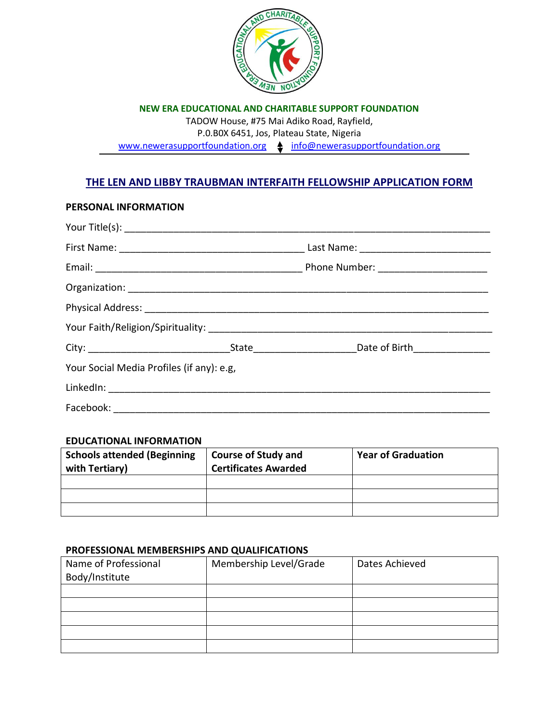

**NEW ERA EDUCATIONAL AND CHARITABLE SUPPORT FOUNDATION**

TADOW House, #75 Mai Adiko Road, Rayfield,

P.0.B0X 6451, Jos, Plateau State, Nigeria

[www.newerasupportfoundation.org](http://www.newerasupportfoundation.org/)  $\triangleq$  [info@newerasupportfoundation.org](mailto:info@newerasupportfoundation.org)

# **THE LEN AND LIBBY TRAUBMAN INTERFAITH FELLOWSHIP APPLICATION FORM**

### **PERSONAL INFORMATION**

| Your Social Media Profiles (if any): e.g. |  |
|-------------------------------------------|--|
|                                           |  |
|                                           |  |

### **EDUCATIONAL INFORMATION**

| <b>Schools attended (Beginning</b><br>with Tertiary) | Course of Study and<br><b>Certificates Awarded</b> | <b>Year of Graduation</b> |
|------------------------------------------------------|----------------------------------------------------|---------------------------|
|                                                      |                                                    |                           |
|                                                      |                                                    |                           |
|                                                      |                                                    |                           |

### **PROFESSIONAL MEMBERSHIPS AND QUALIFICATIONS**

| Name of Professional | Membership Level/Grade | Dates Achieved |
|----------------------|------------------------|----------------|
| Body/Institute       |                        |                |
|                      |                        |                |
|                      |                        |                |
|                      |                        |                |
|                      |                        |                |
|                      |                        |                |